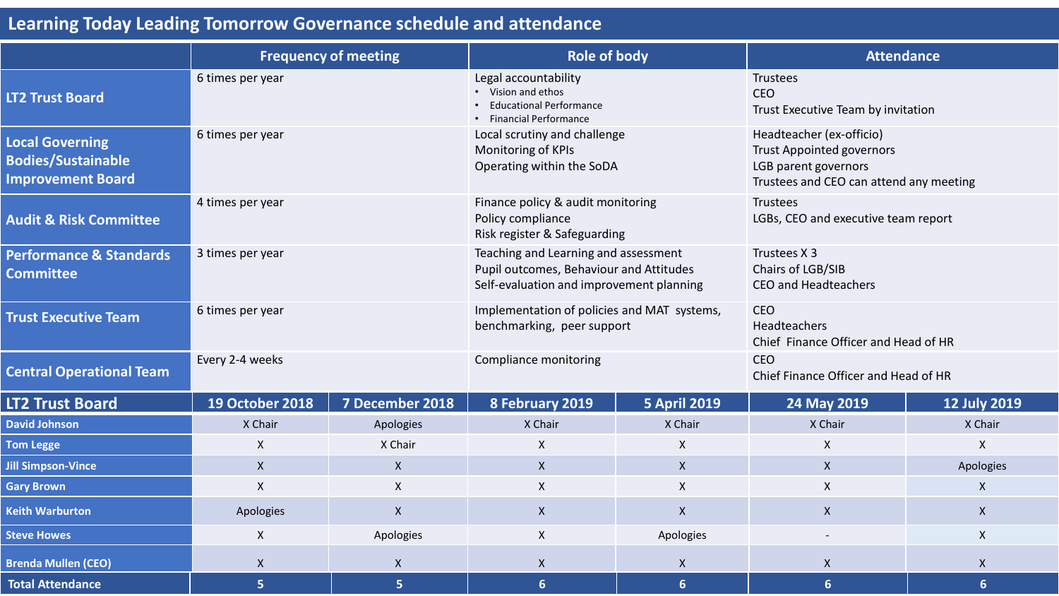## **Learning Today Leading Tomorrow Governance schedule and attendance**

|                                                                                 | <b>Frequency of meeting</b> |                  | <b>Role of body</b>                                                                                                         |                     | <b>Attendance</b>                                                                                                               |                           |
|---------------------------------------------------------------------------------|-----------------------------|------------------|-----------------------------------------------------------------------------------------------------------------------------|---------------------|---------------------------------------------------------------------------------------------------------------------------------|---------------------------|
| <b>LT2 Trust Board</b>                                                          | 6 times per year            |                  | Legal accountability<br>• Vision and ethos<br><b>Educational Performance</b><br>• Financial Performance                     |                     | Trustees<br><b>CEO</b><br>Trust Executive Team by invitation                                                                    |                           |
| <b>Local Governing</b><br><b>Bodies/Sustainable</b><br><b>Improvement Board</b> | 6 times per year            |                  | Local scrutiny and challenge<br>Monitoring of KPIs<br>Operating within the SoDA                                             |                     | Headteacher (ex-officio)<br><b>Trust Appointed governors</b><br>LGB parent governors<br>Trustees and CEO can attend any meeting |                           |
| <b>Audit &amp; Risk Committee</b>                                               | 4 times per year            |                  | Finance policy & audit monitoring<br>Policy compliance<br>Risk register & Safeguarding                                      |                     | Trustees<br>LGBs, CEO and executive team report                                                                                 |                           |
| <b>Performance &amp; Standards</b><br><b>Committee</b>                          | 3 times per year            |                  | Teaching and Learning and assessment<br>Pupil outcomes, Behaviour and Attitudes<br>Self-evaluation and improvement planning |                     | Trustees X 3<br>Chairs of LGB/SIB<br>CEO and Headteachers                                                                       |                           |
| <b>Trust Executive Team</b>                                                     | 6 times per year            |                  | Implementation of policies and MAT systems,<br>benchmarking, peer support                                                   |                     | <b>CEO</b><br>Headteachers<br>Chief Finance Officer and Head of HR                                                              |                           |
| <b>Central Operational Team</b>                                                 | Every 2-4 weeks             |                  | Compliance monitoring                                                                                                       |                     | <b>CEO</b><br>Chief Finance Officer and Head of HR                                                                              |                           |
| <b>LT2 Trust Board</b>                                                          | <b>19 October 2018</b>      | 7 December 2018  | 8 February 2019                                                                                                             | <b>5 April 2019</b> | 24 May 2019                                                                                                                     | <b>12 July 2019</b>       |
| <b>David Johnson</b>                                                            | X Chair                     | Apologies        | X Chair                                                                                                                     | X Chair             | X Chair                                                                                                                         | X Chair                   |
| <b>Tom Legge</b>                                                                | $\boldsymbol{\mathsf{X}}$   | X Chair          | $\mathsf{X}$                                                                                                                | $\mathsf{X}$        | X                                                                                                                               | $\pmb{\mathsf{X}}$        |
| <b>Jill Simpson-Vince</b>                                                       | $\boldsymbol{\mathsf{X}}$   | $\mathsf{X}$     | $\mathsf{X}$                                                                                                                | $\mathsf{X}$        | $\mathsf{X}$                                                                                                                    | Apologies                 |
| <b>Gary Brown</b>                                                               | $\pmb{\mathsf{X}}$          | $\mathsf{X}$     | $\mathsf{X}$                                                                                                                | $\mathsf{X}$        | X                                                                                                                               | $\boldsymbol{\mathsf{X}}$ |
| <b>Keith Warburton</b>                                                          | Apologies                   | $\boldsymbol{X}$ | $\mathsf{X}$                                                                                                                | $\mathsf{X}$        | $\mathsf{X}$                                                                                                                    | $\boldsymbol{\mathsf{X}}$ |
| <b>Steve Howes</b>                                                              | $\boldsymbol{\mathsf{X}}$   | Apologies        | $\boldsymbol{\mathsf{X}}$                                                                                                   | Apologies           |                                                                                                                                 | $\boldsymbol{\mathsf{X}}$ |
| <b>Brenda Mullen (CEO)</b>                                                      | $\boldsymbol{X}$            | $\mathsf{X}$     | $\mathsf{X}$                                                                                                                | $\mathsf{X}$        | $\mathsf{X}$                                                                                                                    | $\boldsymbol{X}$          |
| <b>Total Attendance</b>                                                         | 5                           | 5                | $6\phantom{1}$                                                                                                              | $6\phantom{1}$      | 6                                                                                                                               | $6\phantom{1}6$           |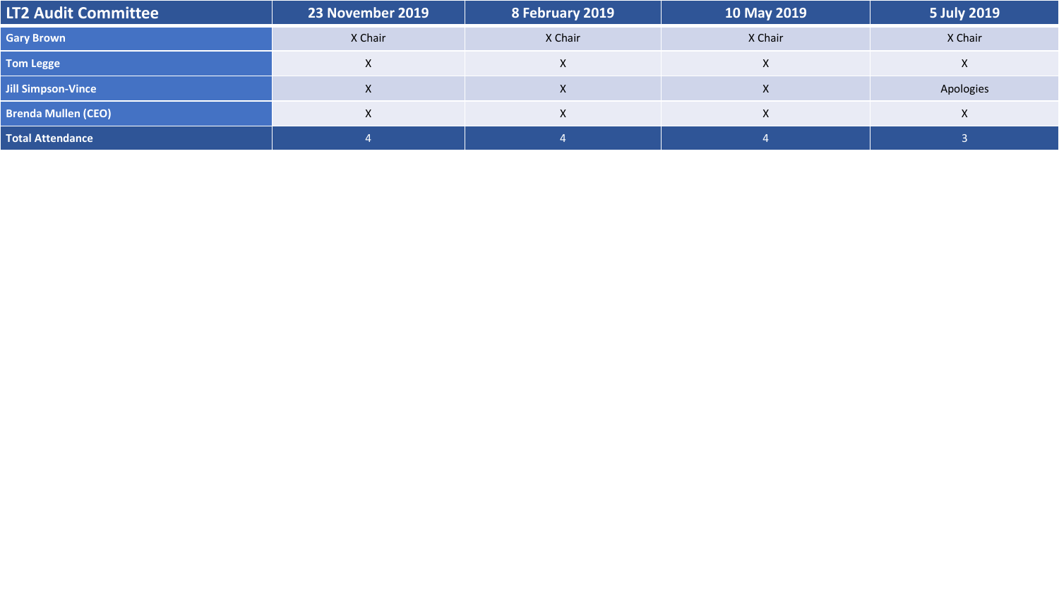| <b>LT2 Audit Committee</b> | 23 November 2019 | 8 February 2019 | 10 May 2019 | 5 July 2019 |
|----------------------------|------------------|-----------------|-------------|-------------|
| <b>Gary Brown</b>          | X Chair          | X Chair         | X Chair     | X Chair     |
| <b>Tom Legge</b>           |                  |                 |             | $\Lambda$   |
| Jill Simpson-Vince         | $\mathbf{v}$     |                 | ⋏           | Apologies   |
| <b>Brenda Mullen (CEO)</b> | л.               |                 |             | X           |
| <b>Total Attendance</b>    |                  |                 |             |             |